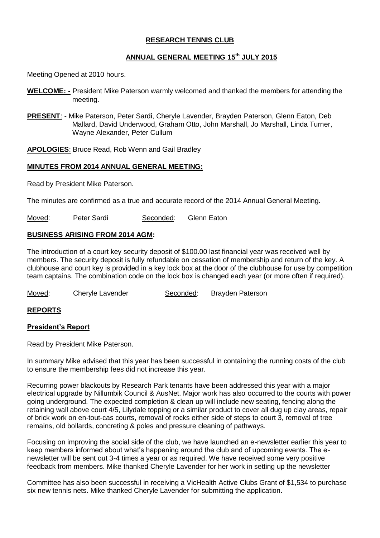### **RESEARCH TENNIS CLUB**

### **ANNUAL GENERAL MEETING 15th JULY 2015**

Meeting Opened at 2010 hours.

- **WELCOME: -** President Mike Paterson warmly welcomed and thanked the members for attending the meeting.
- **PRESENT**: Mike Paterson, Peter Sardi, Cheryle Lavender, Brayden Paterson, Glenn Eaton, Deb Mallard, David Underwood, Graham Otto, John Marshall, Jo Marshall, Linda Turner, Wayne Alexander, Peter Cullum

**APOLOGIES**: Bruce Read, Rob Wenn and Gail Bradley

### **MINUTES FROM 2014 ANNUAL GENERAL MEETING:**

Read by President Mike Paterson.

The minutes are confirmed as a true and accurate record of the 2014 Annual General Meeting.

Moved: Peter Sardi Seconded: Glenn Eaton

### **BUSINESS ARISING FROM 2014 AGM:**

The introduction of a court key security deposit of \$100.00 last financial year was received well by members. The security deposit is fully refundable on cessation of membership and return of the key. A clubhouse and court key is provided in a key lock box at the door of the clubhouse for use by competition team captains. The combination code on the lock box is changed each year (or more often if required).

Moved: Cheryle Lavender Seconded: Brayden Paterson

### **REPORTS**

### **President's Report**

Read by President Mike Paterson.

In summary Mike advised that this year has been successful in containing the running costs of the club to ensure the membership fees did not increase this year.

Recurring power blackouts by Research Park tenants have been addressed this year with a major electrical upgrade by Nillumbik Council & AusNet. Major work has also occurred to the courts with power going underground. The expected completion & clean up will include new seating, fencing along the retaining wall above court 4/5, Lilydale topping or a similar product to cover all dug up clay areas, repair of brick work on en-tout-cas courts, removal of rocks either side of steps to court 3, removal of tree remains, old bollards, concreting & poles and pressure cleaning of pathways.

Focusing on improving the social side of the club, we have launched an e-newsletter earlier this year to keep members informed about what's happening around the club and of upcoming events. The enewsletter will be sent out 3-4 times a year or as required. We have received some very positive feedback from members. Mike thanked Cheryle Lavender for her work in setting up the newsletter

Committee has also been successful in receiving a VicHealth Active Clubs Grant of \$1,534 to purchase six new tennis nets. Mike thanked Cheryle Lavender for submitting the application.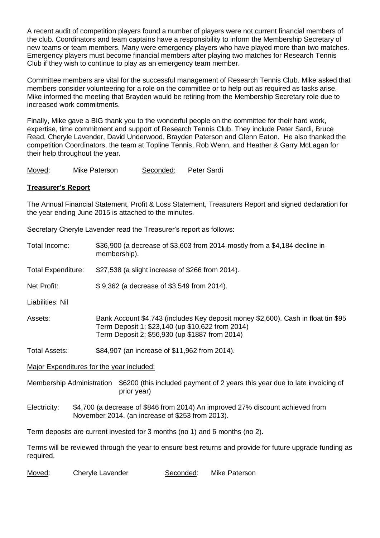A recent audit of competition players found a number of players were not current financial members of the club. Coordinators and team captains have a responsibility to inform the Membership Secretary of new teams or team members. Many were emergency players who have played more than two matches. Emergency players must become financial members after playing two matches for Research Tennis Club if they wish to continue to play as an emergency team member.

Committee members are vital for the successful management of Research Tennis Club. Mike asked that members consider volunteering for a role on the committee or to help out as required as tasks arise. Mike informed the meeting that Brayden would be retiring from the Membership Secretary role due to increased work commitments.

Finally, Mike gave a BIG thank you to the wonderful people on the committee for their hard work, expertise, time commitment and support of Research Tennis Club. They include Peter Sardi, Bruce Read, Cheryle Lavender, David Underwood, Brayden Paterson and Glenn Eaton. He also thanked the competition Coordinators, the team at Topline Tennis, Rob Wenn, and Heather & Garry McLagan for their help throughout the year.

Moved: Mike Paterson Seconded: Peter Sardi

### **Treasurer's Report**

The Annual Financial Statement, Profit & Loss Statement, Treasurers Report and signed declaration for the year ending June 2015 is attached to the minutes.

Secretary Cheryle Lavender read the Treasurer's report as follows:

| Total Income:                    | \$36,900 (a decrease of \$3,603 from 2014-mostly from a \$4,184 decline in<br>membership).                                                                                              |  |
|----------------------------------|-----------------------------------------------------------------------------------------------------------------------------------------------------------------------------------------|--|
| <b>Total Expenditure:</b>        | \$27,538 (a slight increase of \$266 from 2014).                                                                                                                                        |  |
| Net Profit:                      | \$9,362 (a decrease of \$3,549 from 2014).                                                                                                                                              |  |
| Liabilities: Nil                 |                                                                                                                                                                                         |  |
| Assets:                          | Bank Account \$4,743 (includes Key deposit money \$2,600). Cash in float tin \$95<br>Term Deposit 1: \$23,140 (up \$10,622 from 2014)<br>Term Deposit 2: \$56,930 (up \$1887 from 2014) |  |
| <b>Total Assets:</b>             | \$84,907 (an increase of \$11,962 from 2014).                                                                                                                                           |  |
|                                  | Major Expenditures for the year included:                                                                                                                                               |  |
| <b>Membership Administration</b> | \$6200 (this included payment of 2 years this year due to late invoicing of<br>prior year)                                                                                              |  |
| Electricity:                     | \$4,700 (a decrease of \$846 from 2014) An improved 27% discount achieved from<br>November 2014. (an increase of \$253 from 2013).                                                      |  |
|                                  | Term deposits are current invested for 3 months (no 1) and 6 months (no 2).                                                                                                             |  |
| required.                        | Terms will be reviewed through the year to ensure best returns and provide for future upgrade funding as                                                                                |  |
| Moved:                           | Seconded:<br>Cheryle Lavender<br>Mike Paterson                                                                                                                                          |  |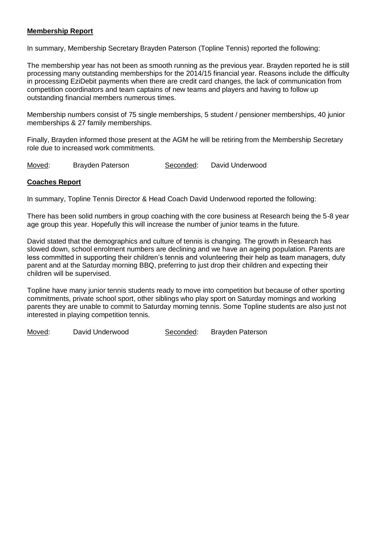### **Membership Report**

In summary, Membership Secretary Brayden Paterson (Topline Tennis) reported the following:

The membership year has not been as smooth running as the previous year. Brayden reported he is still processing many outstanding memberships for the 2014/15 financial year. Reasons include the difficulty in processing EziDebit payments when there are credit card changes, the lack of communication from competition coordinators and team captains of new teams and players and having to follow up outstanding financial members numerous times.

Membership numbers consist of 75 single memberships, 5 student / pensioner memberships, 40 junior memberships & 27 family memberships.

Finally, Brayden informed those present at the AGM he will be retiring from the Membership Secretary role due to increased work commitments.

Moved: Brayden Paterson Seconded: David Underwood

#### **Coaches Report**

In summary, Topline Tennis Director & Head Coach David Underwood reported the following:

There has been solid numbers in group coaching with the core business at Research being the 5-8 year age group this year. Hopefully this will increase the number of junior teams in the future.

David stated that the demographics and culture of tennis is changing. The growth in Research has slowed down, school enrolment numbers are declining and we have an ageing population. Parents are less committed in supporting their children's tennis and volunteering their help as team managers, duty parent and at the Saturday morning BBQ, preferring to just drop their children and expecting their children will be supervised.

Topline have many junior tennis students ready to move into competition but because of other sporting commitments, private school sport, other siblings who play sport on Saturday mornings and working parents they are unable to commit to Saturday morning tennis. Some Topline students are also just not interested in playing competition tennis.

Moved: David Underwood Seconded: Brayden Paterson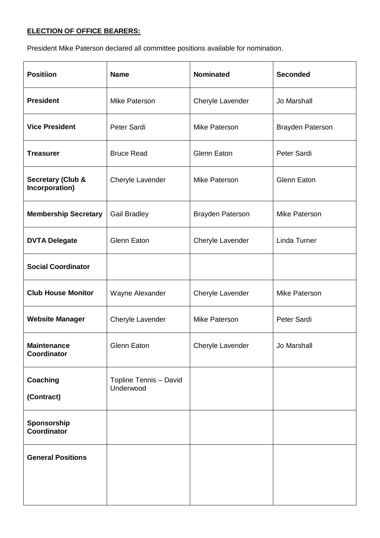## **ELECTION OF OFFICE BEARERS:**

President Mike Paterson declared all committee positions available for nomination.

| <b>Positiion</b>                               | <b>Name</b>                         | <b>Nominated</b>        | <b>Seconded</b>         |
|------------------------------------------------|-------------------------------------|-------------------------|-------------------------|
| <b>President</b>                               | Mike Paterson                       | Cheryle Lavender        | Jo Marshall             |
| <b>Vice President</b>                          | Peter Sardi                         | Mike Paterson           | <b>Brayden Paterson</b> |
| <b>Treasurer</b>                               | <b>Bruce Read</b>                   | <b>Glenn Eaton</b>      | Peter Sardi             |
| <b>Secretary (Club &amp;</b><br>Incorporation) | Cheryle Lavender                    | Mike Paterson           | <b>Glenn Eaton</b>      |
| <b>Membership Secretary</b>                    | <b>Gail Bradley</b>                 | <b>Brayden Paterson</b> | Mike Paterson           |
| <b>DVTA Delegate</b>                           | <b>Glenn Eaton</b>                  | Cheryle Lavender        | Linda Turner            |
| <b>Social Coordinator</b>                      |                                     |                         |                         |
| <b>Club House Monitor</b>                      | Wayne Alexander                     | Cheryle Lavender        | Mike Paterson           |
| <b>Website Manager</b>                         | Cheryle Lavender                    | Mike Paterson           | Peter Sardi             |
| <b>Maintenance</b><br><b>Coordinator</b>       | Glenn Eaton                         | Cheryle Lavender        | Jo Marshall             |
| Coaching<br>(Contract)                         | Topline Tennis - David<br>Underwood |                         |                         |
| Sponsorship<br><b>Coordinator</b>              |                                     |                         |                         |
| <b>General Positions</b>                       |                                     |                         |                         |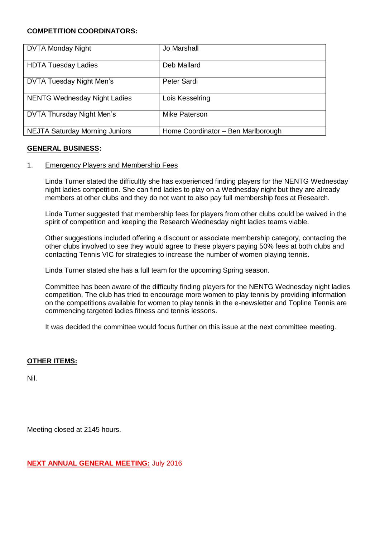### **COMPETITION COORDINATORS:**

| <b>DVTA Monday Night</b>              | Jo Marshall                        |
|---------------------------------------|------------------------------------|
|                                       |                                    |
| <b>HDTA Tuesday Ladies</b>            | Deb Mallard                        |
| DVTA Tuesday Night Men's              | Peter Sardi                        |
| <b>NENTG Wednesday Night Ladies</b>   | Lois Kesselring                    |
| DVTA Thursday Night Men's             | Mike Paterson                      |
| <b>NEJTA Saturday Morning Juniors</b> | Home Coordinator - Ben Marlborough |

### **GENERAL BUSINESS:**

### 1. Emergency Players and Membership Fees

Linda Turner stated the difficultly she has experienced finding players for the NENTG Wednesday night ladies competition. She can find ladies to play on a Wednesday night but they are already members at other clubs and they do not want to also pay full membership fees at Research.

Linda Turner suggested that membership fees for players from other clubs could be waived in the spirit of competition and keeping the Research Wednesday night ladies teams viable.

Other suggestions included offering a discount or associate membership category, contacting the other clubs involved to see they would agree to these players paying 50% fees at both clubs and contacting Tennis VIC for strategies to increase the number of women playing tennis.

Linda Turner stated she has a full team for the upcoming Spring season.

Committee has been aware of the difficulty finding players for the NENTG Wednesday night ladies competition. The club has tried to encourage more women to play tennis by providing information on the competitions available for women to play tennis in the e-newsletter and Topline Tennis are commencing targeted ladies fitness and tennis lessons.

It was decided the committee would focus further on this issue at the next committee meeting.

### **OTHER ITEMS:**

Nil.

Meeting closed at 2145 hours.

**NEXT ANNUAL GENERAL MEETING:** July 2016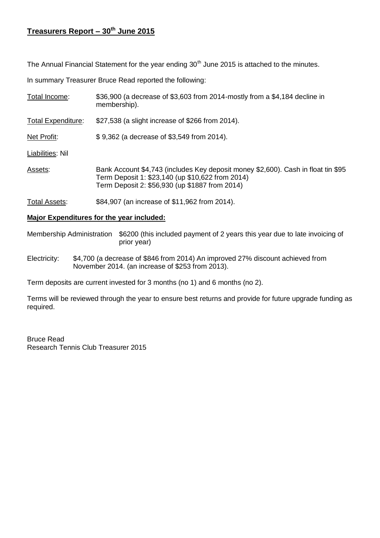# **Treasurers Report – 30th June 2015**

The Annual Financial Statement for the year ending  $30<sup>th</sup>$  June 2015 is attached to the minutes.

In summary Treasurer Bruce Read reported the following:

| Total Income:             | \$36,900 (a decrease of \$3,603 from 2014-mostly from a \$4,184 decline in<br>membership).                                                                                              |
|---------------------------|-----------------------------------------------------------------------------------------------------------------------------------------------------------------------------------------|
| <b>Total Expenditure:</b> | \$27,538 (a slight increase of \$266 from 2014).                                                                                                                                        |
| Net Profit:               | \$9,362 (a decrease of \$3,549 from 2014).                                                                                                                                              |
| Liabilities: Nil          |                                                                                                                                                                                         |
| Assets:                   | Bank Account \$4,743 (includes Key deposit money \$2,600). Cash in float tin \$95<br>Term Deposit 1: \$23,140 (up \$10,622 from 2014)<br>Term Deposit 2: \$56,930 (up \$1887 from 2014) |
| Total Assets:             | \$84,907 (an increase of \$11,962 from 2014).                                                                                                                                           |

### **Major Expenditures for the year included:**

Membership Administration \$6200 (this included payment of 2 years this year due to late invoicing of prior year)

Electricity: \$4,700 (a decrease of \$846 from 2014) An improved 27% discount achieved from November 2014. (an increase of \$253 from 2013).

Term deposits are current invested for 3 months (no 1) and 6 months (no 2).

Terms will be reviewed through the year to ensure best returns and provide for future upgrade funding as required.

Bruce Read Research Tennis Club Treasurer 2015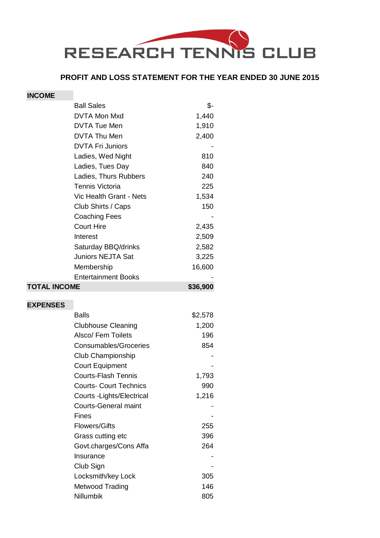

### **PROFIT AND LOSS STATEMENT FOR THE YEAR ENDED 30 JUNE 2015**

### **INCOME**

| <b>Ball Sales</b>          | \$-      |
|----------------------------|----------|
| DVTA Mon Mxd               | 1,440    |
| DVTA Tue Men               | 1,910    |
| DVTA Thu Men               | 2,400    |
| <b>DVTA Fri Juniors</b>    |          |
| Ladies, Wed Night          | 810      |
| Ladies, Tues Day           | 840      |
| Ladies, Thurs Rubbers      | 240      |
| Tennis Victoria            | 225      |
| Vic Health Grant - Nets    | 1,534    |
| Club Shirts / Caps         | 150      |
| <b>Coaching Fees</b>       |          |
| <b>Court Hire</b>          | 2,435    |
| Interest                   | 2,509    |
| Saturday BBQ/drinks        | 2,582    |
| <b>Juniors NEJTA Sat</b>   | 3,225    |
| Membership                 | 16,600   |
| <b>Entertainment Books</b> |          |
| <b>TOTAL INCOME</b>        | \$36,900 |
|                            |          |

### **EXPENSES**

| <b>Balls</b>                  | \$2,578 |
|-------------------------------|---------|
| <b>Clubhouse Cleaning</b>     | 1,200   |
| Alsco/ Fem Toilets            | 196     |
| <b>Consumables/Groceries</b>  | 854     |
| <b>Club Championship</b>      |         |
| <b>Court Equipment</b>        |         |
| Courts-Flash Tennis           | 1,793   |
| <b>Courts- Court Technics</b> | 990     |
| Courts - Lights/Electrical    | 1,216   |
| <b>Courts-General maint</b>   |         |
| Fines                         |         |
| Flowers/Gifts                 | 255     |
| Grass cutting etc             | 396     |
| Govt.charges/Cons Affa        | 264     |
| Insurance                     |         |
| Club Sign                     |         |
| Locksmith/key Lock            | 305     |
| Metwood Trading               | 146     |
| Nillumbik                     | 805     |